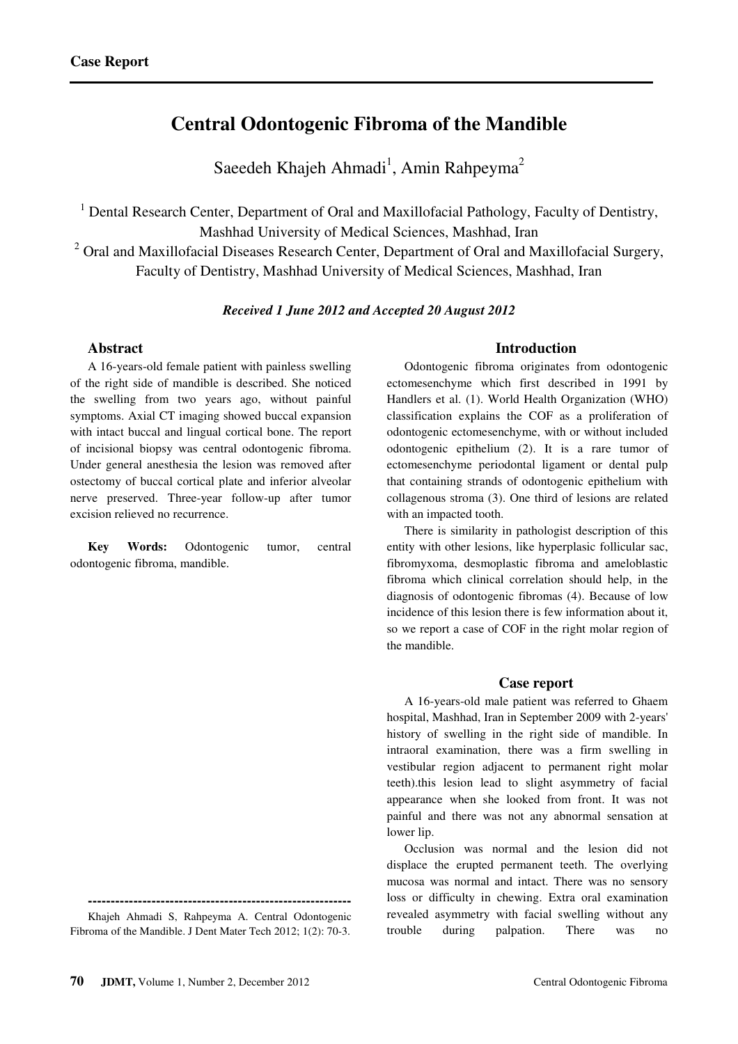# **Central Odontogenic Fibroma of the Mandible**

Saeedeh Khajeh Ahmadi<sup>1</sup>, Amin Rahpeyma<sup>2</sup>

<sup>1</sup> Dental Research Center, Department of Oral and Maxillofacial Pathology, Faculty of Dentistry,

Mashhad University of Medical Sciences, Mashhad, Iran

 $2$  Oral and Maxillofacial Diseases Research Center, Department of Oral and Maxillofacial Surgery, Faculty of Dentistry, Mashhad University of Medical Sciences, Mashhad, Iran

### *Received 1 June 2012 and Accepted 20 August 2012*

# **Abstract**

A 16-years-old female patient with painless swelling of the right side of mandible is described. She noticed the swelling from two years ago, without painful symptoms. Axial CT imaging showed buccal expansion with intact buccal and lingual cortical bone. The report of incisional biopsy was central odontogenic fibroma. Under general anesthesia the lesion was removed after ostectomy of buccal cortical plate and inferior alveolar nerve preserved. Three-year follow-up after tumor excision relieved no recurrence.

**Key Words:** Odontogenic tumor, central odontogenic fibroma, mandible.

# **Introduction**

Odontogenic fibroma originates from odontogenic ectomesenchyme which first described in 1991 by Handlers et al. (1). World Health Organization (WHO) classification explains the COF as a proliferation of odontogenic ectomesenchyme, with or without included odontogenic epithelium (2). It is a rare tumor of ectomesenchyme periodontal ligament or dental pulp that containing strands of odontogenic epithelium with collagenous stroma (3). One third of lesions are related with an impacted tooth.

There is similarity in pathologist description of this entity with other lesions, like hyperplasic follicular sac, fibromyxoma, desmoplastic fibroma and ameloblastic fibroma which clinical correlation should help, in the diagnosis of odontogenic fibromas (4). Because of low incidence of this lesion there is few information about it, so we report a case of COF in the right molar region of the mandible.

### **Case report**

A 16-years-old male patient was referred to Ghaem hospital, Mashhad, Iran in September 2009 with 2-years' history of swelling in the right side of mandible. In intraoral examination, there was a firm swelling in vestibular region adjacent to permanent right molar teeth).this lesion lead to slight asymmetry of facial appearance when she looked from front. It was not painful and there was not any abnormal sensation at lower lip.

Occlusion was normal and the lesion did not displace the erupted permanent teeth. The overlying mucosa was normal and intact. There was no sensory loss or difficulty in chewing. Extra oral examination revealed asymmetry with facial swelling without any trouble during palpation. There was no

**<sup>----------------------------------------------------------</sup>**  Khajeh Ahmadi S, Rahpeyma A. Central Odontogenic

Fibroma of the Mandible. J Dent Mater Tech 2012; 1(2): 70-3.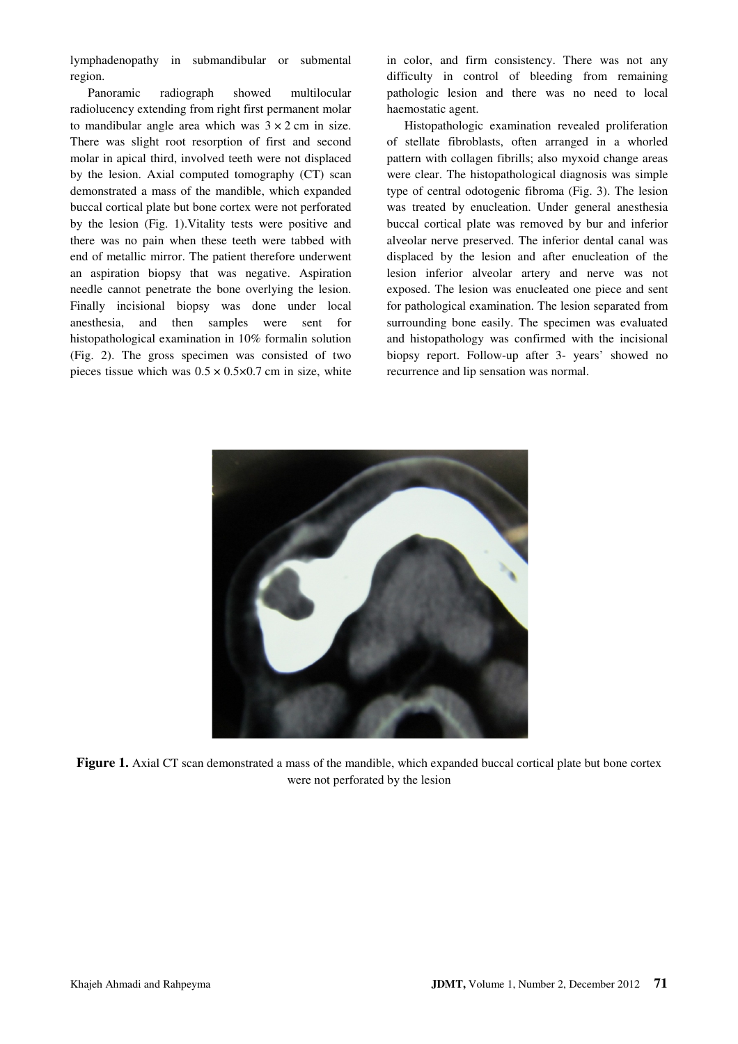lymphadenopathy in submandibular or submental region.

Panoramic radiograph showed multilocular radiolucency extending from right first permanent molar to mandibular angle area which was  $3 \times 2$  cm in size. There was slight root resorption of first and second molar in apical third, involved teeth were not displaced by the lesion. Axial computed tomography (CT) scan demonstrated a mass of the mandible, which expanded buccal cortical plate but bone cortex were not perforated by the lesion (Fig. 1).Vitality tests were positive and there was no pain when these teeth were tabbed with end of metallic mirror. The patient therefore underwent an aspiration biopsy that was negative. Aspiration needle cannot penetrate the bone overlying the lesion. Finally incisional biopsy was done under local anesthesia, and then samples were sent for histopathological examination in 10% formalin solution (Fig. 2). The gross specimen was consisted of two pieces tissue which was  $0.5 \times 0.5 \times 0.7$  cm in size, white

in color, and firm consistency. There was not any difficulty in control of bleeding from remaining pathologic lesion and there was no need to local haemostatic agent.

Histopathologic examination revealed proliferation of stellate fibroblasts, often arranged in a whorled pattern with collagen fibrills; also myxoid change areas were clear. The histopathological diagnosis was simple type of central odotogenic fibroma (Fig. 3). The lesion was treated by enucleation. Under general anesthesia buccal cortical plate was removed by bur and inferior alveolar nerve preserved. The inferior dental canal was displaced by the lesion and after enucleation of the lesion inferior alveolar artery and nerve was not exposed. The lesion was enucleated one piece and sent for pathological examination. The lesion separated from surrounding bone easily. The specimen was evaluated and histopathology was confirmed with the incisional biopsy report. Follow-up after 3- years' showed no recurrence and lip sensation was normal.



**Figure 1.** Axial CT scan demonstrated a mass of the mandible, which expanded buccal cortical plate but bone cortex were not perforated by the lesion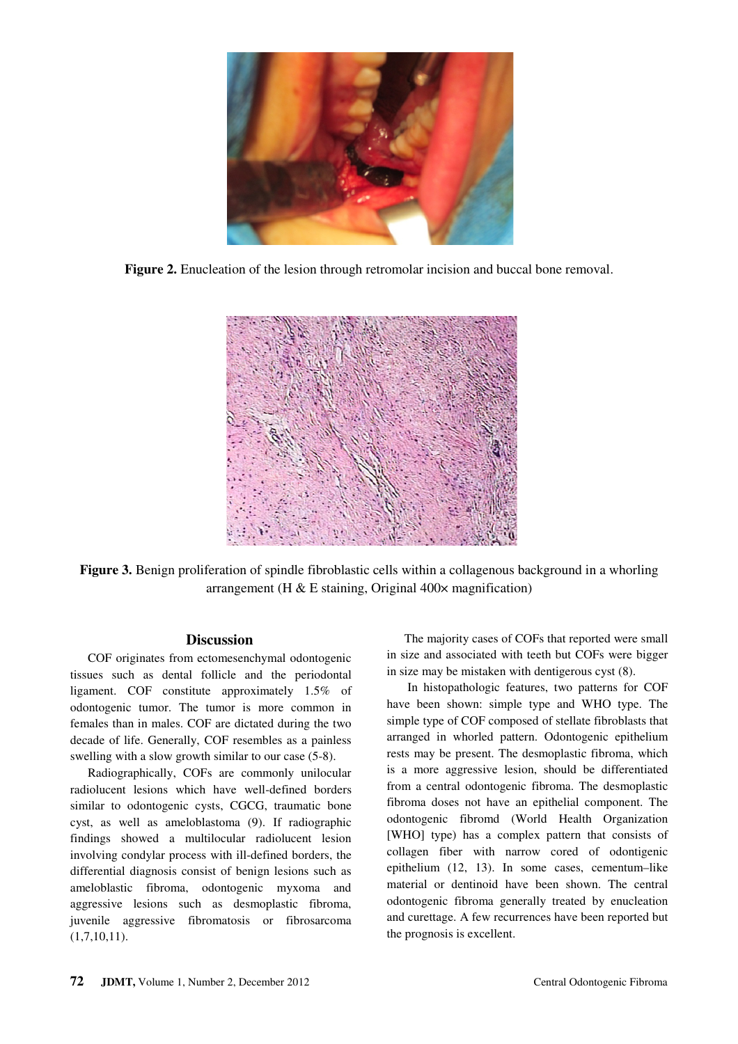

**Figure 2.** Enucleation of the lesion through retromolar incision and buccal bone removal.



**Figure 3.** Benign proliferation of spindle fibroblastic cells within a collagenous background in a whorling arrangement (H  $&$  E staining, Original 400 $\times$  magnification)

### **Discussion**

COF originates from ectomesenchymal odontogenic tissues such as dental follicle and the periodontal ligament. COF constitute approximately 1.5% of odontogenic tumor. The tumor is more common in females than in males. COF are dictated during the two decade of life. Generally, COF resembles as a painless swelling with a slow growth similar to our case (5-8).

Radiographically, COFs are commonly unilocular radiolucent lesions which have well-defined borders similar to odontogenic cysts, CGCG, traumatic bone cyst, as well as ameloblastoma (9). If radiographic findings showed a multilocular radiolucent lesion involving condylar process with ill-defined borders, the differential diagnosis consist of benign lesions such as ameloblastic fibroma, odontogenic myxoma and aggressive lesions such as desmoplastic fibroma, juvenile aggressive fibromatosis or fibrosarcoma  $(1,7,10,11).$ 

The majority cases of COFs that reported were small in size and associated with teeth but COFs were bigger in size may be mistaken with dentigerous cyst (8).

 In histopathologic features, two patterns for COF have been shown: simple type and WHO type. The simple type of COF composed of stellate fibroblasts that arranged in whorled pattern. Odontogenic epithelium rests may be present. The desmoplastic fibroma, which is a more aggressive lesion, should be differentiated from a central odontogenic fibroma. The desmoplastic fibroma doses not have an epithelial component. The odontogenic fibromd (World Health Organization [WHO] type) has a complex pattern that consists of collagen fiber with narrow cored of odontigenic epithelium (12, 13). In some cases, cementum–like material or dentinoid have been shown. The central odontogenic fibroma generally treated by enucleation and curettage. A few recurrences have been reported but the prognosis is excellent.